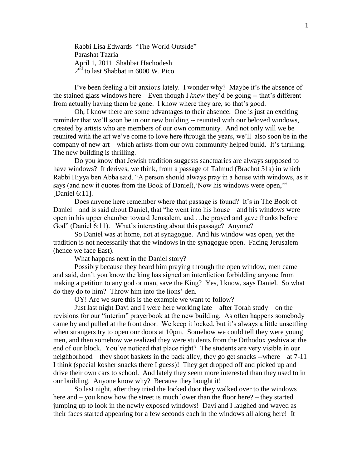Rabbi Lisa Edwards "The World Outside" Parashat Tazria April 1, 2011 Shabbat Hachodesh 2<sup>nd</sup> to last Shabbat in 6000 W. Pico

I've been feeling a bit anxious lately. I wonder why? Maybe it's the absence of the stained glass windows here – Even though I *knew* they'd be going -- that's different from actually having them be gone. I know where they are, so that's good.

Oh, I know there are some advantages to their absence. One is just an exciting reminder that we'll soon be in our new building -- reunited with our beloved windows, created by artists who are members of our own community. And not only will we be reunited with the art we've come to love here through the years, we'll also soon be in the company of new art – which artists from our own community helped build. It's thrilling. The new building is thrilling.

Do you know that Jewish tradition suggests sanctuaries are always supposed to have windows? It derives, we think, from a passage of Talmud (Brachot 31a) in which Rabbi Hiyya ben Abba said, "A person should always pray in a house with windows, as it says (and now it quotes from the Book of Daniel), 'Now his windows were open,'" [Daniel 6:11].

Does anyone here remember where that passage is found? It's in The Book of Daniel – and is said about Daniel, that "he went into his house – and his windows were open in his upper chamber toward Jerusalem, and …he prayed and gave thanks before God" (Daniel 6:11). What's interesting about this passage? Anyone?

So Daniel was at home, not at synagogue. And his window was open, yet the tradition is not necessarily that the windows in the synagogue open. Facing Jerusalem (hence we face East).

What happens next in the Daniel story?

Possibly because they heard him praying through the open window, men came and said, don't you know the king has signed an interdiction forbidding anyone from making a petition to any god or man, save the King? Yes, I know, says Daniel. So what do they do to him? Throw him into the lions' den.

OY! Are we sure this is the example we want to follow?

Just last night Davi and I were here working late – after Torah study – on the revisions for our "interim" prayerbook at the new building. As often happens somebody came by and pulled at the front door. We keep it locked, but it's always a little unsettling when strangers try to open our doors at 10pm. Somehow we could tell they were young men, and then somehow we realized they were students from the Orthodox yeshiva at the end of our block. You've noticed that place right? The students are very visible in our neighborhood – they shoot baskets in the back alley; they go get snacks --where – at 7-11 I think (special kosher snacks there I guess)! They get dropped off and picked up and drive their own cars to school. And lately they seem more interested than they used to in our building. Anyone know why? Because they bought it!

So last night, after they tried the locked door they walked over to the windows here and – you know how the street is much lower than the floor here? – they started jumping up to look in the newly exposed windows! Davi and I laughed and waved as their faces started appearing for a few seconds each in the windows all along here! It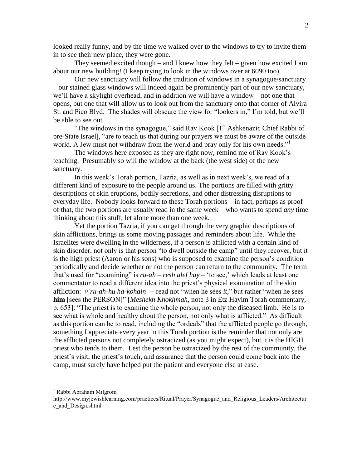looked really funny, and by the time we walked over to the windows to try to invite them in to see their new place, they were gone.

They seemed excited though – and I knew how they felt – given how excited I am about our new building! (I keep trying to look in the windows over at 6090 too).

Our new sanctuary will follow the tradition of windows in a synagogue/sanctuary – our stained glass windows will indeed again be prominently part of our new sanctuary, we'll have a skylight overhead, and in addition we will have a window – not one that opens, but one that will allow us to look out from the sanctuary onto that corner of Alvira St. and Pico Blvd. The shades will obscure the view for "lookers in," I'm told, but we'll be able to see out.

"The windows in the synagogue," said Rav Kook  $[1<sup>st</sup> Ashkenazic Chief Rabbi of$ pre-State Israel], "are to teach us that during our prayers we must be aware of the outside world. A Jew must not withdraw from the world and pray only for his own needs."<sup>1</sup>

The windows here exposed as they are right now, remind me of Rav Kook's teaching. Presumably so will the window at the back (the west side) of the new sanctuary.

In this week's Torah portion, Tazria, as well as in next week's, we read of a different kind of exposure to the people around us. The portions are filled with gritty descriptions of skin eruptions, bodily secretions, and other distressing disruptions to everyday life. Nobody looks forward to these Torah portions – in fact, perhaps as proof of that, the two portions are usually read in the same week – who wants to spend *any* time thinking about this stuff, let alone more than one week.

Yet the portion Tazria, if you can get through the very graphic descriptions of skin afflictions, brings us some moving passages and reminders about life. While the Israelites were dwelling in the wilderness, if a person is afflicted with a certain kind of skin disorder, not only is that person "to dwell outside the camp" until they recover, but it is the high priest (Aaron or his sons) who is supposed to examine the person's condition periodically and decide whether or not the person can return to the community. The term that's used for "examining" is *ra-ah – resh alef hay* – 'to see,' which leads at least one commentator to read a different idea into the priest's physical examination of the skin affliction: *v'ra-ah-hu ha-kohain* -- read not "when he sees *it,*" but rather "when he sees **him** [sees the PERSON]" [*Meshekh Khokhmah*, note 3 in Etz Hayim Torah commentary, p. 653]: "The priest is to examine the whole person, not only the diseased limb. He is to see what is whole and healthy about the person, not only what is afflicted." As difficult as this portion can be to read, including the "ordeals" that the afflicted people go through, something I appreciate every year in this Torah portion is the reminder that not only are the afflicted persons not completely ostracized (as you might expect), but it is the HIGH priest who tends to them. Lest the person be ostracized by the rest of the community, the priest's visit, the priest's touch, and assurance that the person could come back into the camp, must surely have helped put the patient and everyone else at ease.

 $\overline{a}$ 

<sup>1</sup> Rabbi Abraham Milgrom

http://www.myjewishlearning.com/practices/Ritual/Prayer/Synagogue\_and\_Religious\_Leaders/Architectur e\_and\_Design.shtml